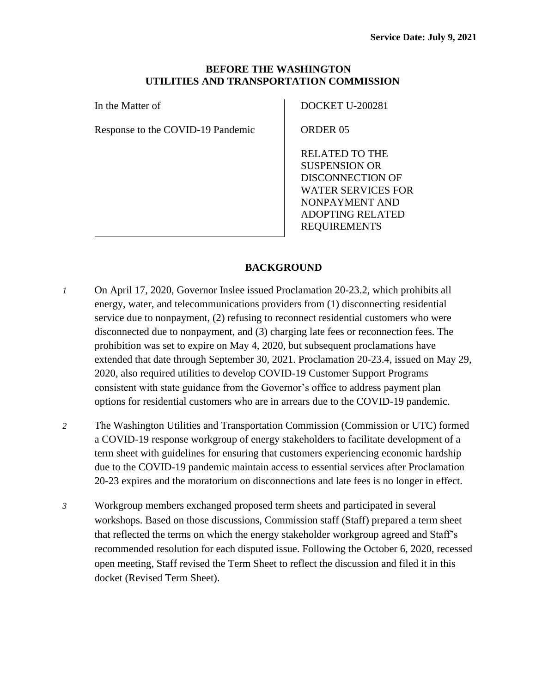### **BEFORE THE WASHINGTON UTILITIES AND TRANSPORTATION COMMISSION**

In the Matter of

Response to the COVID-19 Pandemic

DOCKET U-200281

ORDER 05

RELATED TO THE SUSPENSION OR DISCONNECTION OF WATER SERVICES FOR NONPAYMENT AND ADOPTING RELATED REQUIREMENTS

# **BACKGROUND**

- *1* On April 17, 2020, Governor Inslee issued Proclamation 20-23.2, which prohibits all energy, water, and telecommunications providers from (1) disconnecting residential service due to nonpayment, (2) refusing to reconnect residential customers who were disconnected due to nonpayment, and (3) charging late fees or reconnection fees. The prohibition was set to expire on May 4, 2020, but subsequent proclamations have extended that date through September 30, 2021. Proclamation 20-23.4, issued on May 29, 2020, also required utilities to develop COVID-19 Customer Support Programs consistent with state guidance from the Governor's office to address payment plan options for residential customers who are in arrears due to the COVID-19 pandemic.
- *2* The Washington Utilities and Transportation Commission (Commission or UTC) formed a COVID-19 response workgroup of energy stakeholders to facilitate development of a term sheet with guidelines for ensuring that customers experiencing economic hardship due to the COVID-19 pandemic maintain access to essential services after Proclamation 20-23 expires and the moratorium on disconnections and late fees is no longer in effect.
- *3* Workgroup members exchanged proposed term sheets and participated in several workshops. Based on those discussions, Commission staff (Staff) prepared a term sheet that reflected the terms on which the energy stakeholder workgroup agreed and Staff's recommended resolution for each disputed issue. Following the October 6, 2020, recessed open meeting, Staff revised the Term Sheet to reflect the discussion and filed it in this docket (Revised Term Sheet).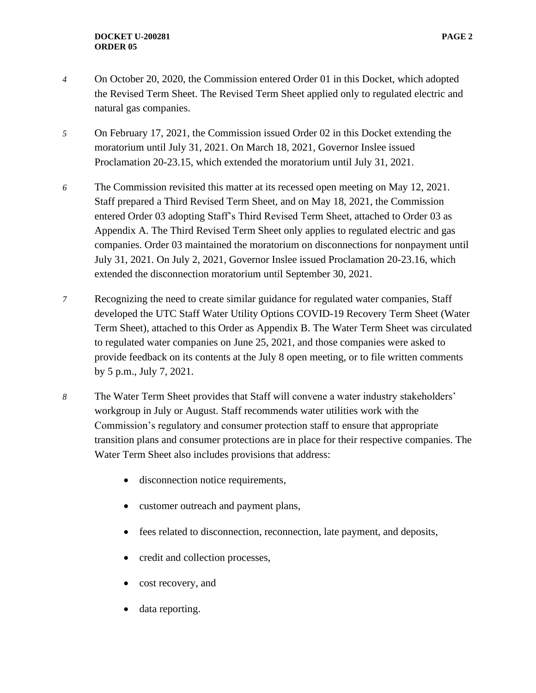- *4* On October 20, 2020, the Commission entered Order 01 in this Docket, which adopted the Revised Term Sheet. The Revised Term Sheet applied only to regulated electric and natural gas companies.
- *5* On February 17, 2021, the Commission issued Order 02 in this Docket extending the moratorium until July 31, 2021. On March 18, 2021, Governor Inslee issued Proclamation 20-23.15, which extended the moratorium until July 31, 2021.
- *6* The Commission revisited this matter at its recessed open meeting on May 12, 2021. Staff prepared a Third Revised Term Sheet, and on May 18, 2021, the Commission entered Order 03 adopting Staff's Third Revised Term Sheet, attached to Order 03 as Appendix A. The Third Revised Term Sheet only applies to regulated electric and gas companies. Order 03 maintained the moratorium on disconnections for nonpayment until July 31, 2021. On July 2, 2021, Governor Inslee issued Proclamation 20-23.16, which extended the disconnection moratorium until September 30, 2021.
- *7* Recognizing the need to create similar guidance for regulated water companies, Staff developed the UTC Staff Water Utility Options COVID-19 Recovery Term Sheet (Water Term Sheet)*,* attached to this Order as Appendix B. The Water Term Sheet was circulated to regulated water companies on June 25, 2021, and those companies were asked to provide feedback on its contents at the July 8 open meeting, or to file written comments by 5 p.m., July 7, 2021.
- *8* The Water Term Sheet provides that Staff will convene a water industry stakeholders' workgroup in July or August. Staff recommends water utilities work with the Commission's regulatory and consumer protection staff to ensure that appropriate transition plans and consumer protections are in place for their respective companies. The Water Term Sheet also includes provisions that address:
	- disconnection notice requirements,
	- customer outreach and payment plans,
	- fees related to disconnection, reconnection, late payment, and deposits,
	- credit and collection processes,
	- cost recovery, and
	- data reporting.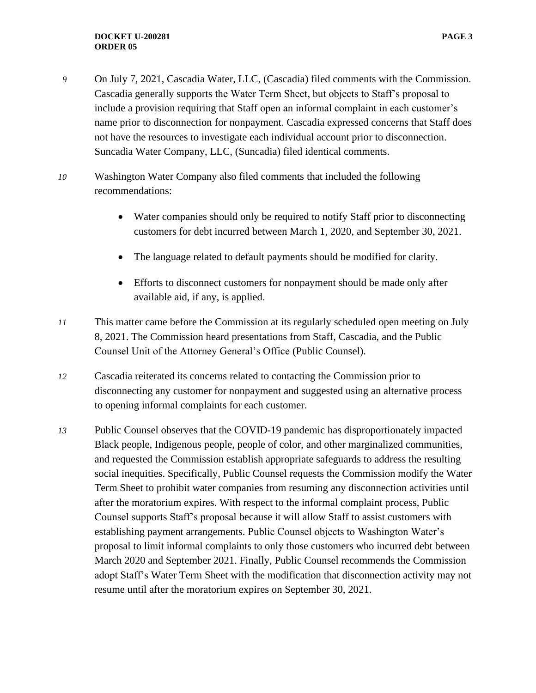- *9* On July 7, 2021, Cascadia Water, LLC, (Cascadia) filed comments with the Commission. Cascadia generally supports the Water Term Sheet, but objects to Staff's proposal to include a provision requiring that Staff open an informal complaint in each customer's name prior to disconnection for nonpayment. Cascadia expressed concerns that Staff does not have the resources to investigate each individual account prior to disconnection. Suncadia Water Company, LLC, (Suncadia) filed identical comments.
- *10* Washington Water Company also filed comments that included the following recommendations:
	- Water companies should only be required to notify Staff prior to disconnecting customers for debt incurred between March 1, 2020, and September 30, 2021.
	- The language related to default payments should be modified for clarity.
	- Efforts to disconnect customers for nonpayment should be made only after available aid, if any, is applied.
- *11* This matter came before the Commission at its regularly scheduled open meeting on July 8, 2021. The Commission heard presentations from Staff, Cascadia, and the Public Counsel Unit of the Attorney General's Office (Public Counsel).
- *12* Cascadia reiterated its concerns related to contacting the Commission prior to disconnecting any customer for nonpayment and suggested using an alternative process to opening informal complaints for each customer.
- *13* Public Counsel observes that the COVID-19 pandemic has disproportionately impacted Black people, Indigenous people, people of color, and other marginalized communities, and requested the Commission establish appropriate safeguards to address the resulting social inequities. Specifically, Public Counsel requests the Commission modify the Water Term Sheet to prohibit water companies from resuming any disconnection activities until after the moratorium expires. With respect to the informal complaint process, Public Counsel supports Staff's proposal because it will allow Staff to assist customers with establishing payment arrangements. Public Counsel objects to Washington Water's proposal to limit informal complaints to only those customers who incurred debt between March 2020 and September 2021. Finally, Public Counsel recommends the Commission adopt Staff's Water Term Sheet with the modification that disconnection activity may not resume until after the moratorium expires on September 30, 2021.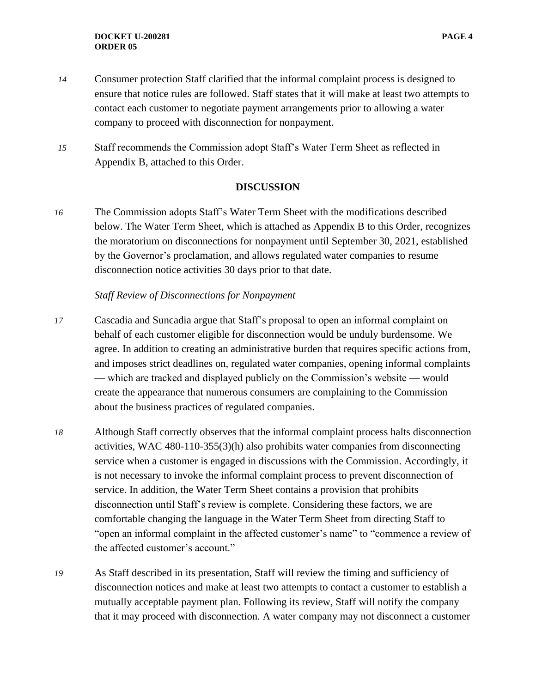- *14* Consumer protection Staff clarified that the informal complaint process is designed to ensure that notice rules are followed. Staff states that it will make at least two attempts to contact each customer to negotiate payment arrangements prior to allowing a water company to proceed with disconnection for nonpayment.
- *15* Staff recommends the Commission adopt Staff's Water Term Sheet as reflected in Appendix B, attached to this Order.

#### **DISCUSSION**

*16* The Commission adopts Staff's Water Term Sheet with the modifications described below. The Water Term Sheet, which is attached as Appendix B to this Order, recognizes the moratorium on disconnections for nonpayment until September 30, 2021, established by the Governor's proclamation, and allows regulated water companies to resume disconnection notice activities 30 days prior to that date.

### *Staff Review of Disconnections for Nonpayment*

- *17* Cascadia and Suncadia argue that Staff's proposal to open an informal complaint on behalf of each customer eligible for disconnection would be unduly burdensome. We agree. In addition to creating an administrative burden that requires specific actions from, and imposes strict deadlines on, regulated water companies, opening informal complaints — which are tracked and displayed publicly on the Commission's website — would create the appearance that numerous consumers are complaining to the Commission about the business practices of regulated companies.
- *18* Although Staff correctly observes that the informal complaint process halts disconnection activities, WAC 480-110-355(3)(h) also prohibits water companies from disconnecting service when a customer is engaged in discussions with the Commission. Accordingly, it is not necessary to invoke the informal complaint process to prevent disconnection of service. In addition, the Water Term Sheet contains a provision that prohibits disconnection until Staff's review is complete. Considering these factors, we are comfortable changing the language in the Water Term Sheet from directing Staff to "open an informal complaint in the affected customer's name" to "commence a review of the affected customer's account."
- *19* As Staff described in its presentation, Staff will review the timing and sufficiency of disconnection notices and make at least two attempts to contact a customer to establish a mutually acceptable payment plan. Following its review, Staff will notify the company that it may proceed with disconnection. A water company may not disconnect a customer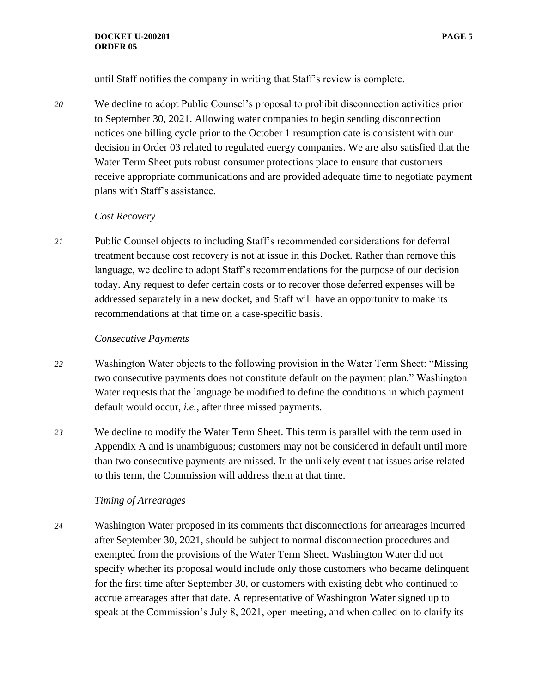#### **DOCKET U-200281 PAGE 5 ORDER 05**

until Staff notifies the company in writing that Staff's review is complete.

*20* We decline to adopt Public Counsel's proposal to prohibit disconnection activities prior to September 30, 2021. Allowing water companies to begin sending disconnection notices one billing cycle prior to the October 1 resumption date is consistent with our decision in Order 03 related to regulated energy companies. We are also satisfied that the Water Term Sheet puts robust consumer protections place to ensure that customers receive appropriate communications and are provided adequate time to negotiate payment plans with Staff's assistance.

### *Cost Recovery*

*21* Public Counsel objects to including Staff's recommended considerations for deferral treatment because cost recovery is not at issue in this Docket. Rather than remove this language, we decline to adopt Staff's recommendations for the purpose of our decision today. Any request to defer certain costs or to recover those deferred expenses will be addressed separately in a new docket, and Staff will have an opportunity to make its recommendations at that time on a case-specific basis.

### *Consecutive Payments*

- *22* Washington Water objects to the following provision in the Water Term Sheet: "Missing two consecutive payments does not constitute default on the payment plan." Washington Water requests that the language be modified to define the conditions in which payment default would occur, *i.e.,* after three missed payments.
- *23* We decline to modify the Water Term Sheet. This term is parallel with the term used in Appendix A and is unambiguous; customers may not be considered in default until more than two consecutive payments are missed. In the unlikely event that issues arise related to this term, the Commission will address them at that time.

## *Timing of Arrearages*

*24* Washington Water proposed in its comments that disconnections for arrearages incurred after September 30, 2021, should be subject to normal disconnection procedures and exempted from the provisions of the Water Term Sheet. Washington Water did not specify whether its proposal would include only those customers who became delinquent for the first time after September 30, or customers with existing debt who continued to accrue arrearages after that date. A representative of Washington Water signed up to speak at the Commission's July 8, 2021, open meeting, and when called on to clarify its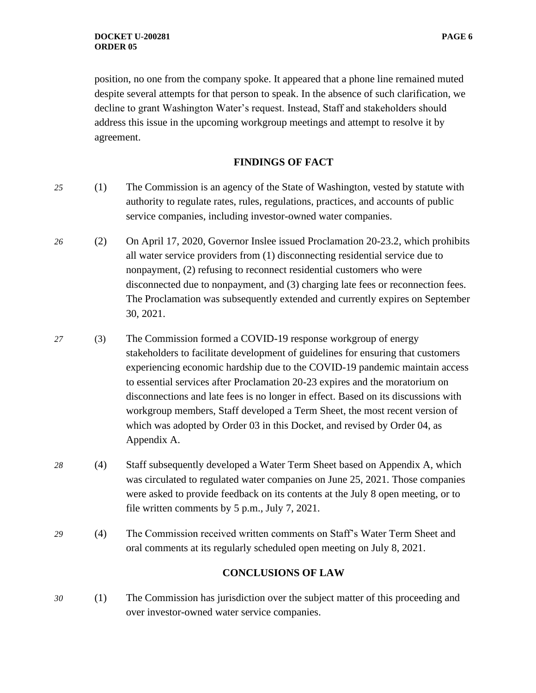position, no one from the company spoke. It appeared that a phone line remained muted despite several attempts for that person to speak. In the absence of such clarification, we decline to grant Washington Water's request. Instead, Staff and stakeholders should address this issue in the upcoming workgroup meetings and attempt to resolve it by agreement.

#### **FINDINGS OF FACT**

- *25* (1) The Commission is an agency of the State of Washington, vested by statute with authority to regulate rates, rules, regulations, practices, and accounts of public service companies, including investor-owned water companies.
- *26* (2) On April 17, 2020, Governor Inslee issued Proclamation 20-23.2, which prohibits all water service providers from (1) disconnecting residential service due to nonpayment, (2) refusing to reconnect residential customers who were disconnected due to nonpayment, and (3) charging late fees or reconnection fees. The Proclamation was subsequently extended and currently expires on September 30, 2021.
- *27* (3) The Commission formed a COVID-19 response workgroup of energy stakeholders to facilitate development of guidelines for ensuring that customers experiencing economic hardship due to the COVID-19 pandemic maintain access to essential services after Proclamation 20-23 expires and the moratorium on disconnections and late fees is no longer in effect. Based on its discussions with workgroup members, Staff developed a Term Sheet, the most recent version of which was adopted by Order 03 in this Docket, and revised by Order 04, as Appendix A.
- *28* (4) Staff subsequently developed a Water Term Sheet based on Appendix A*,* which was circulated to regulated water companies on June 25, 2021. Those companies were asked to provide feedback on its contents at the July 8 open meeting, or to file written comments by 5 p.m., July 7, 2021.
- *29* (4) The Commission received written comments on Staff's Water Term Sheet and oral comments at its regularly scheduled open meeting on July 8, 2021.

### **CONCLUSIONS OF LAW**

*30* (1) The Commission has jurisdiction over the subject matter of this proceeding and over investor-owned water service companies.